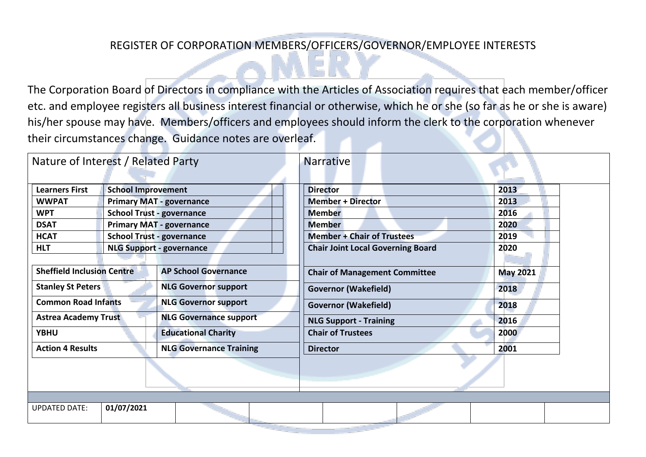## REGISTER OF CORPORATION MEMBERS/OFFICERS/GOVERNOR/EMPLOYEE INTERESTS

The Corporation Board of Directors in compliance with the Articles of Association requires that each member/officer etc. and employee registers all business interest financial or otherwise, which he or she (so far as he or she is aware) his/her spouse may have. Members/officers and employees should inform the clerk to the corporation whenever their circumstances change. Guidance notes are overleaf.

| Nature of Interest / Related Party |                                  |                                 | <b>Narrative</b>                         |                 |  |
|------------------------------------|----------------------------------|---------------------------------|------------------------------------------|-----------------|--|
| <b>Learners First</b>              | <b>School Improvement</b>        |                                 | <b>Director</b>                          | 2013            |  |
| <b>WWPAT</b>                       | <b>Primary MAT - governance</b>  |                                 | <b>Member + Director</b>                 | 2013            |  |
| <b>WPT</b>                         | <b>School Trust - governance</b> |                                 | <b>Member</b>                            | 2016            |  |
| <b>DSAT</b>                        | <b>Primary MAT - governance</b>  |                                 | <b>Member</b>                            | 2020            |  |
| <b>HCAT</b>                        | <b>School Trust - governance</b> |                                 | <b>Member + Chair of Trustees</b>        | 2019            |  |
| <b>HLT</b>                         |                                  | <b>NLG Support - governance</b> | <b>Chair Joint Local Governing Board</b> | 2020            |  |
|                                    |                                  |                                 |                                          |                 |  |
| <b>Sheffield Inclusion Centre</b>  |                                  | <b>AP School Governance</b>     | <b>Chair of Management Committee</b>     | <b>May 2021</b> |  |
| <b>Stanley St Peters</b>           |                                  | <b>NLG Governor support</b>     | <b>Governor (Wakefield)</b>              | 2018            |  |
| <b>Common Road Infants</b>         |                                  | <b>NLG Governor support</b>     | <b>Governor (Wakefield)</b>              | 2018            |  |
| <b>Astrea Academy Trust</b>        |                                  | <b>NLG Governance support</b>   | <b>NLG Support - Training</b>            | 2016            |  |
| <b>YBHU</b>                        |                                  | <b>Educational Charity</b>      | <b>Chair of Trustees</b>                 | 2000            |  |
| <b>Action 4 Results</b>            |                                  | <b>NLG Governance Training</b>  | <b>Director</b>                          | 2001            |  |
|                                    |                                  |                                 |                                          |                 |  |
|                                    |                                  |                                 |                                          |                 |  |
| <b>UPDATED DATE:</b>               | 01/07/2021                       |                                 |                                          |                 |  |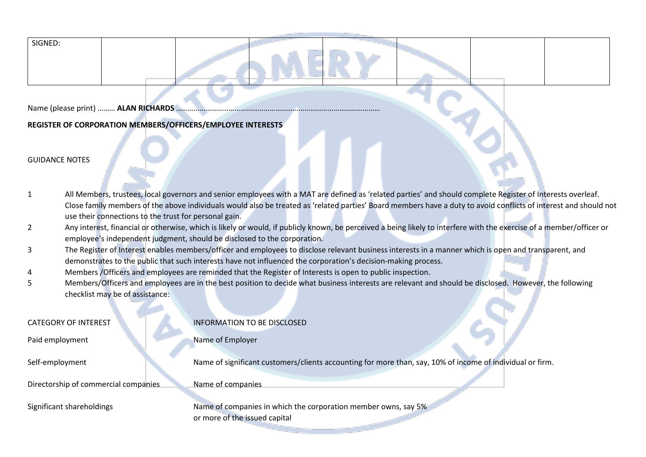| SIGNED |
|--------|
|--------|

Name (please print) ……… **ALAN RICHARDS** ……………………………………………………………………………………………

## **REGISTER OF CORPORATION MEMBERS/OFFICERS/EMPLOYEE INTERESTS**

## GUIDANCE NOTES

- 1 All Members, trustees, local governors and senior employees with a MAT are defined as 'related parties' and should complete Register of Interests overleaf. Close family members of the above individuals would also be treated as 'related parties' Board members have a duty to avoid conflicts of interest and should not use their connections to the trust for personal gain.
- 2 Any interest, financial or otherwise, which is likely or would, if publicly known, be perceived a being likely to interfere with the exercise of a member/officer or employee's independent judgment, should be disclosed to the corporation.
- 3 The Register of Interest enables members/officer and employees to disclose relevant business interests in a manner which is open and transparent, and demonstrates to the public that such interests have not influenced the corporation's decision-making process.
- 4 Members /Officers and employees are reminded that the Register of Interests is open to public inspection.
- 5 Members/Officers and employees are in the best position to decide what business interests are relevant and should be disclosed. However, the following checklist may be of assistance:

| <b>CATEGORY OF INTEREST</b>          | <b>INFORMATION TO BE DISCLOSED</b>                                                                        |
|--------------------------------------|-----------------------------------------------------------------------------------------------------------|
| Paid employment                      | Name of Employer                                                                                          |
| Self-employment                      | Name of significant customers/clients accounting for more than, say, 10% of income of individual or firm. |
| Directorship of commercial companies | Name of companies                                                                                         |
| Significant shareholdings            | Name of companies in which the corporation member owns, say 5%<br>or more of the issued capital           |